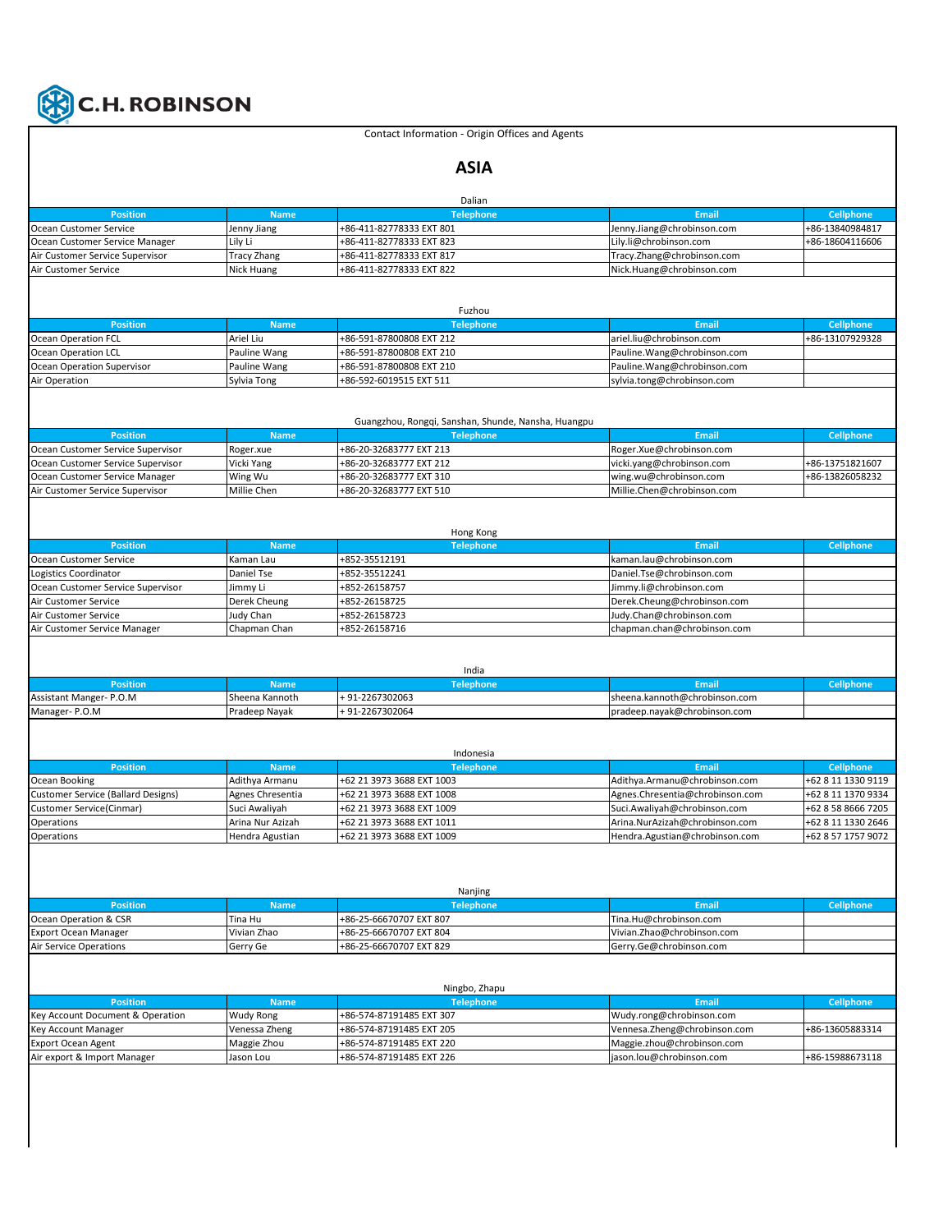

## Contact Information - Origin Offices and Agents

## **ASIA**

|                                                          |                          | Dalian                                               |                                                        |                                                                                                            |
|----------------------------------------------------------|--------------------------|------------------------------------------------------|--------------------------------------------------------|------------------------------------------------------------------------------------------------------------|
| <b>Position</b>                                          | <b>Name</b>              | <b>Telephone</b>                                     | <b>Email</b>                                           | <b>Cellphone</b>                                                                                           |
| Ocean Customer Service                                   | Jenny Jiang              | +86-411-82778333 EXT 801                             | Jenny.Jiang@chrobinson.com                             | +86-13840984817                                                                                            |
| Ocean Customer Service Manager                           | Lily Li                  | +86-411-82778333 EXT 823                             | Lily.li@chrobinson.com                                 | +86-18604116606                                                                                            |
| Air Customer Service Supervisor                          | <b>Tracy Zhang</b>       | +86-411-82778333 EXT 817                             | Tracy.Zhang@chrobinson.com                             |                                                                                                            |
| Air Customer Service                                     | Nick Huang               | +86-411-82778333 EXT 822                             | Nick.Huang@chrobinson.com                              |                                                                                                            |
|                                                          |                          |                                                      |                                                        |                                                                                                            |
|                                                          |                          |                                                      |                                                        |                                                                                                            |
|                                                          |                          | Fuzhou                                               |                                                        |                                                                                                            |
| <b>Position</b>                                          | <b>Name</b>              | <b>Telephone</b>                                     | <b>Email</b>                                           | <b>Cellphone</b><br>+86-13107929328                                                                        |
| <b>Ocean Operation FCL</b><br>Ocean Operation LCL        | Ariel Liu                | +86-591-87800808 EXT 212<br>+86-591-87800808 EXT 210 | ariel.liu@chrobinson.com                               |                                                                                                            |
| Ocean Operation Supervisor                               | Pauline Wang             |                                                      | Pauline.Wang@chrobinson.com                            |                                                                                                            |
|                                                          | Pauline Wang             | +86-591-87800808 EXT 210                             | Pauline.Wang@chrobinson.com                            |                                                                                                            |
| Air Operation                                            | Sylvia Tong              | +86-592-6019515 EXT 511                              | sylvia.tong@chrobinson.com                             |                                                                                                            |
|                                                          |                          |                                                      |                                                        |                                                                                                            |
|                                                          |                          | Guangzhou, Rongqi, Sanshan, Shunde, Nansha, Huangpu  |                                                        |                                                                                                            |
| <b>Position</b>                                          | <b>Name</b>              | <b>Telephone</b>                                     | <b>Email</b>                                           | <b>Cellphone</b>                                                                                           |
| Ocean Customer Service Supervisor                        | Roger.xue                | +86-20-32683777 EXT 213                              | Roger.Xue@chrobinson.com                               |                                                                                                            |
| Ocean Customer Service Supervisor                        | Vicki Yang               | +86-20-32683777 EXT 212                              | vicki.yang@chrobinson.com                              | +86-13751821607                                                                                            |
| Ocean Customer Service Manager                           | Wing Wu                  | +86-20-32683777 EXT 310                              | wing.wu@chrobinson.com                                 | +86-13826058232                                                                                            |
| Air Customer Service Supervisor                          | Millie Chen              | +86-20-32683777 EXT 510                              | Millie.Chen@chrobinson.com                             |                                                                                                            |
|                                                          |                          |                                                      |                                                        |                                                                                                            |
|                                                          |                          |                                                      |                                                        |                                                                                                            |
|                                                          |                          | Hong Kong                                            |                                                        |                                                                                                            |
| <b>Position</b>                                          | <b>Name</b>              | <b>Telephone</b>                                     | Email                                                  | <b>Cellphone</b>                                                                                           |
| Ocean Customer Service                                   | Kaman Lau                | +852-35512191                                        | kaman.lau@chrobinson.com                               |                                                                                                            |
| Logistics Coordinator                                    | Daniel Tse               | +852-35512241                                        | Daniel.Tse@chrobinson.com                              |                                                                                                            |
|                                                          | Jimmy Li                 | +852-26158757                                        | Jimmy.li@chrobinson.com                                |                                                                                                            |
| Ocean Customer Service Supervisor                        |                          |                                                      |                                                        |                                                                                                            |
|                                                          | Derek Cheung             | +852-26158725                                        | Derek.Cheung@chrobinson.com                            |                                                                                                            |
| Air Customer Service                                     | Judy Chan                | +852-26158723                                        | Judy.Chan@chrobinson.com                               |                                                                                                            |
| Air Customer Service<br>Air Customer Service Manager     | Chapman Chan             | +852-26158716                                        | chapman.chan@chrobinson.com                            |                                                                                                            |
|                                                          |                          |                                                      |                                                        |                                                                                                            |
|                                                          |                          | India                                                |                                                        |                                                                                                            |
| <b>Position</b>                                          | <b>Name</b>              | <b>Telephone</b>                                     | <b>Email</b>                                           | <b>Cellphone</b>                                                                                           |
|                                                          | Sheena Kannoth           | +91-2267302063                                       | sheena.kannoth@chrobinson.com                          |                                                                                                            |
| Assistant Manger- P.O.M<br>Manager-P.O.M                 | Pradeep Nayak            | +91-2267302064                                       | pradeep.nayak@chrobinson.com                           |                                                                                                            |
|                                                          |                          |                                                      |                                                        |                                                                                                            |
|                                                          |                          |                                                      |                                                        |                                                                                                            |
|                                                          |                          | Indonesia                                            |                                                        |                                                                                                            |
| <b>Position</b>                                          | <b>Name</b>              | <b>Telephone</b>                                     | Email                                                  | <b>Cellphone</b>                                                                                           |
|                                                          | Adithya Armanu           | +62 21 3973 3688 EXT 1003                            | Adithya.Armanu@chrobinson.com                          |                                                                                                            |
| <b>Customer Service (Ballard Designs)</b>                | Agnes Chresentia         | +62 21 3973 3688 EXT 1008                            | Agnes.Chresentia@chrobinson.com                        |                                                                                                            |
| Customer Service(Cinmar)                                 | Suci Awaliyah            | +62 21 3973 3688 EXT 1009                            | Suci.Awaliyah@chrobinson.com                           |                                                                                                            |
| Operations                                               | Arina Nur Azizah         | +62 21 3973 3688 EXT 1011                            | Arina.NurAzizah@chrobinson.com                         |                                                                                                            |
| Operations                                               | Hendra Agustian          | +62 21 3973 3688 EXT 1009                            | Hendra.Agustian@chrobinson.com                         |                                                                                                            |
|                                                          |                          |                                                      |                                                        |                                                                                                            |
|                                                          |                          |                                                      |                                                        |                                                                                                            |
|                                                          |                          |                                                      |                                                        | +62 8 11 1330 9119<br>+62 8 11 1370 9334<br>+62 8 58 8666 7205<br>+62 8 11 1330 2646<br>+62 8 57 1757 9072 |
|                                                          |                          | Nanjing                                              |                                                        |                                                                                                            |
| <b>Position</b>                                          | <b>Name</b>              | <b>Telephone</b>                                     | <b>Email</b>                                           | <b>Cellphone</b>                                                                                           |
| Ocean Operation & CSR                                    | Tina Hu                  | +86-25-66670707 EXT 807                              | Tina.Hu@chrobinson.com                                 |                                                                                                            |
| <b>Export Ocean Manager</b>                              | Vivian Zhao              | +86-25-66670707 EXT 804                              | Vivian.Zhao@chrobinson.com                             |                                                                                                            |
| Ocean Booking<br>Air Service Operations                  | Gerry Ge                 | +86-25-66670707 EXT 829                              | Gerry.Ge@chrobinson.com                                |                                                                                                            |
|                                                          |                          |                                                      |                                                        |                                                                                                            |
|                                                          |                          |                                                      |                                                        |                                                                                                            |
|                                                          |                          | Ningbo, Zhapu                                        |                                                        |                                                                                                            |
| <b>Position</b>                                          | <b>Name</b>              | <b>Telephone</b>                                     | <b>Email</b>                                           | <b>Cellphone</b>                                                                                           |
| Key Account Document & Operation                         | Wudy Rong                | +86-574-87191485 EXT 307                             | Wudy.rong@chrobinson.com                               |                                                                                                            |
| Key Account Manager                                      | Venessa Zheng            | +86-574-87191485 EXT 205                             | Vennesa.Zheng@chrobinson.com                           | +86-13605883314                                                                                            |
| <b>Export Ocean Agent</b><br>Air export & Import Manager | Maggie Zhou<br>Jason Lou | +86-574-87191485 EXT 220<br>+86-574-87191485 EXT 226 | Maggie.zhou@chrobinson.com<br>jason.lou@chrobinson.com | +86-15988673118                                                                                            |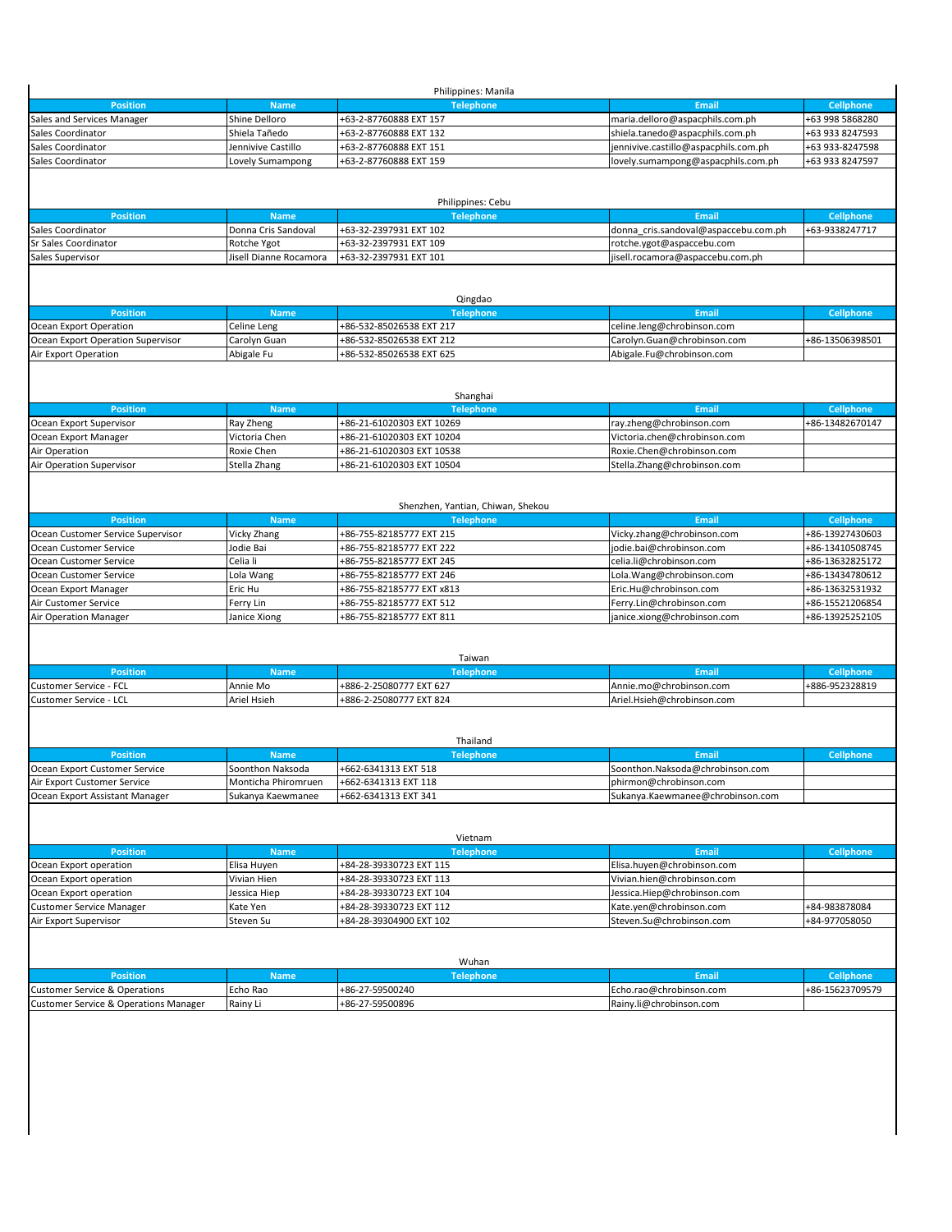|                                       |                        | Philippines: Manila                                    |                                      |                  |
|---------------------------------------|------------------------|--------------------------------------------------------|--------------------------------------|------------------|
| <b>Position</b>                       | <b>Name</b>            | <b>Telephone</b>                                       | Email                                | <b>Cellphone</b> |
| Sales and Services Manager            | Shine Delloro          | +63-2-87760888 EXT 157                                 | maria.delloro@aspacphils.com.ph      | +63 998 5868280  |
| Sales Coordinator                     | Shiela Tañedo          | +63-2-87760888 EXT 132                                 | shiela.tanedo@aspacphils.com.ph      | +63 933 8247593  |
| Sales Coordinator                     | Jennivive Castillo     | +63-2-87760888 EXT 151                                 | jennivive.castillo@aspacphils.com.ph | +63 933-8247598  |
| Sales Coordinator                     | Lovely Sumampong       | +63-2-87760888 EXT 159                                 | lovely.sumampong@aspacphils.com.ph   | +63 933 8247597  |
|                                       |                        |                                                        |                                      |                  |
|                                       |                        |                                                        |                                      |                  |
|                                       |                        | Philippines: Cebu                                      |                                      |                  |
| <b>Position</b>                       | <b>Name</b>            | <b>Telephone</b>                                       | <b>Email</b>                         | <b>Cellphone</b> |
| Sales Coordinator                     | Donna Cris Sandoval    | +63-32-2397931 EXT 102                                 | donna cris.sandoval@aspaccebu.com.ph | +63-9338247717   |
| Sr Sales Coordinator                  | Rotche Ygot            | +63-32-2397931 EXT 109                                 | rotche.ygot@aspaccebu.com            |                  |
| Sales Supervisor                      | Jisell Dianne Rocamora | +63-32-2397931 EXT 101                                 | jisell.rocamora@aspaccebu.com.ph     |                  |
|                                       |                        |                                                        |                                      |                  |
|                                       |                        |                                                        |                                      |                  |
|                                       |                        | Qingdao                                                |                                      |                  |
| <b>Position</b>                       | <b>Name</b>            | <b>Telephone</b>                                       | Email                                | <b>Cellphone</b> |
| Ocean Export Operation                | Celine Leng            | +86-532-85026538 EXT 217                               | celine.leng@chrobinson.com           |                  |
| Ocean Export Operation Supervisor     | Carolyn Guan           | +86-532-85026538 EXT 212                               | Carolyn.Guan@chrobinson.com          | +86-13506398501  |
| Air Export Operation                  | Abigale Fu             | +86-532-85026538 EXT 625                               | Abigale.Fu@chrobinson.com            |                  |
|                                       |                        |                                                        |                                      |                  |
|                                       |                        |                                                        |                                      |                  |
|                                       |                        | Shanghai                                               |                                      |                  |
| <b>Position</b>                       | <b>Name</b>            | <b>Telephone</b>                                       | <b>Email</b>                         | <b>Cellphone</b> |
| Ocean Export Supervisor               | Ray Zheng              |                                                        | ray.zheng@chrobinson.com             | +86-13482670147  |
|                                       |                        | +86-21-61020303 EXT 10269<br>+86-21-61020303 EXT 10204 |                                      |                  |
| Ocean Export Manager                  | Victoria Chen          |                                                        | Victoria.chen@chrobinson.com         |                  |
| Air Operation                         | Roxie Chen             | +86-21-61020303 EXT 10538                              | Roxie.Chen@chrobinson.com            |                  |
| Air Operation Supervisor              | Stella Zhang           | +86-21-61020303 EXT 10504                              | Stella.Zhang@chrobinson.com          |                  |
|                                       |                        |                                                        |                                      |                  |
|                                       |                        |                                                        |                                      |                  |
|                                       |                        | Shenzhen, Yantian, Chiwan, Shekou                      |                                      |                  |
| <b>Position</b>                       | <b>Name</b>            | <b>Telephone</b>                                       | Email                                | <b>Cellphone</b> |
| Ocean Customer Service Supervisor     | Vicky Zhang            | +86-755-82185777 EXT 215                               | Vicky.zhang@chrobinson.com           | +86-13927430603  |
| Ocean Customer Service                | Jodie Bai              | +86-755-82185777 EXT 222                               | jodie.bai@chrobinson.com             | +86-13410508745  |
| Ocean Customer Service                | Celia li               | +86-755-82185777 EXT 245                               | celia.li@chrobinson.com              | +86-13632825172  |
| Ocean Customer Service                | Lola Wang              | +86-755-82185777 EXT 246                               | Lola.Wang@chrobinson.com             | +86-13434780612  |
| Ocean Export Manager                  | Eric Hu                | +86-755-82185777 EXT x813                              | Eric.Hu@chrobinson.com               | +86-13632531932  |
| Air Customer Service                  | Ferry Lin              | +86-755-82185777 EXT 512                               | Ferry.Lin@chrobinson.com             | +86-15521206854  |
| Air Operation Manager                 | Janice Xiong           | +86-755-82185777 EXT 811                               | janice.xiong@chrobinson.com          | +86-13925252105  |
|                                       |                        |                                                        |                                      |                  |
|                                       |                        |                                                        |                                      |                  |
|                                       |                        | Taiwan                                                 |                                      |                  |
|                                       |                        |                                                        |                                      |                  |
| <b>Position</b>                       | <b>Name</b>            | <b>Telephone</b>                                       | Email                                | Cellphone        |
| Customer Service - FCL                | Annie Mo               | +886-2-25080777 EXT 627                                | Annie.mo@chrobinson.com              | +886-952328819   |
| Customer Service - LCL                | Ariel Hsieh            | +886-2-25080777 EXT 824                                | Ariel.Hsieh@chrobinson.com           |                  |
|                                       |                        |                                                        |                                      |                  |
|                                       |                        |                                                        |                                      |                  |
|                                       |                        | Thailand                                               |                                      |                  |
| <b>Position</b>                       | <b>Name</b>            | <b>Telephone</b>                                       | <b>Email</b>                         | <b>Cellphone</b> |
| Ocean Export Customer Service         | Soonthon Naksoda       | +662-6341313 EXT 518                                   | Soonthon.Naksoda@chrobinson.com      |                  |
| Air Export Customer Service           | Monticha Phiromruen    | +662-6341313 EXT 118                                   | phirmon@chrobinson.com               |                  |
| Ocean Export Assistant Manager        | Sukanya Kaewmanee      | +662-6341313 EXT 341                                   | Sukanya.Kaewmanee@chrobinson.com     |                  |
|                                       |                        |                                                        |                                      |                  |
|                                       |                        |                                                        |                                      |                  |
|                                       |                        | Vietnam                                                |                                      |                  |
| <b>Position</b>                       | <b>Name</b>            | <b>Telephone</b>                                       | Email                                | <b>Cellphone</b> |
| Ocean Export operation                | Elisa Huyen            | +84-28-39330723 EXT 115                                | Elisa.huyen@chrobinson.com           |                  |
| Ocean Export operation                | Vivian Hien            | +84-28-39330723 EXT 113                                | Vivian.hien@chrobinson.com           |                  |
|                                       | Jessica Hiep           | +84-28-39330723 EXT 104                                | Jessica.Hiep@chrobinson.com          |                  |
| Ocean Export operation                |                        |                                                        |                                      |                  |
| Customer Service Manager              | Kate Yen               | +84-28-39330723 EXT 112                                | Kate.yen@chrobinson.com              | +84-983878084    |
| Air Export Supervisor                 | Steven Su              | +84-28-39304900 EXT 102                                | Steven.Su@chrobinson.com             | +84-977058050    |
|                                       |                        |                                                        |                                      |                  |
|                                       |                        |                                                        |                                      |                  |
|                                       |                        | Wuhan                                                  |                                      |                  |
| <b>Position</b>                       | <b>Name</b>            | <b>Telephone</b>                                       | <b>Email</b>                         | <b>Cellphone</b> |
| Customer Service & Operations         | Echo Rao               | +86-27-59500240                                        | Echo.rao@chrobinson.com              | +86-15623709579  |
| Customer Service & Operations Manager | Rainy Li               | +86-27-59500896                                        | Rainy.li@chrobinson.com              |                  |
|                                       |                        |                                                        |                                      |                  |
|                                       |                        |                                                        |                                      |                  |
|                                       |                        |                                                        |                                      |                  |
|                                       |                        |                                                        |                                      |                  |
|                                       |                        |                                                        |                                      |                  |
|                                       |                        |                                                        |                                      |                  |
|                                       |                        |                                                        |                                      |                  |
|                                       |                        |                                                        |                                      |                  |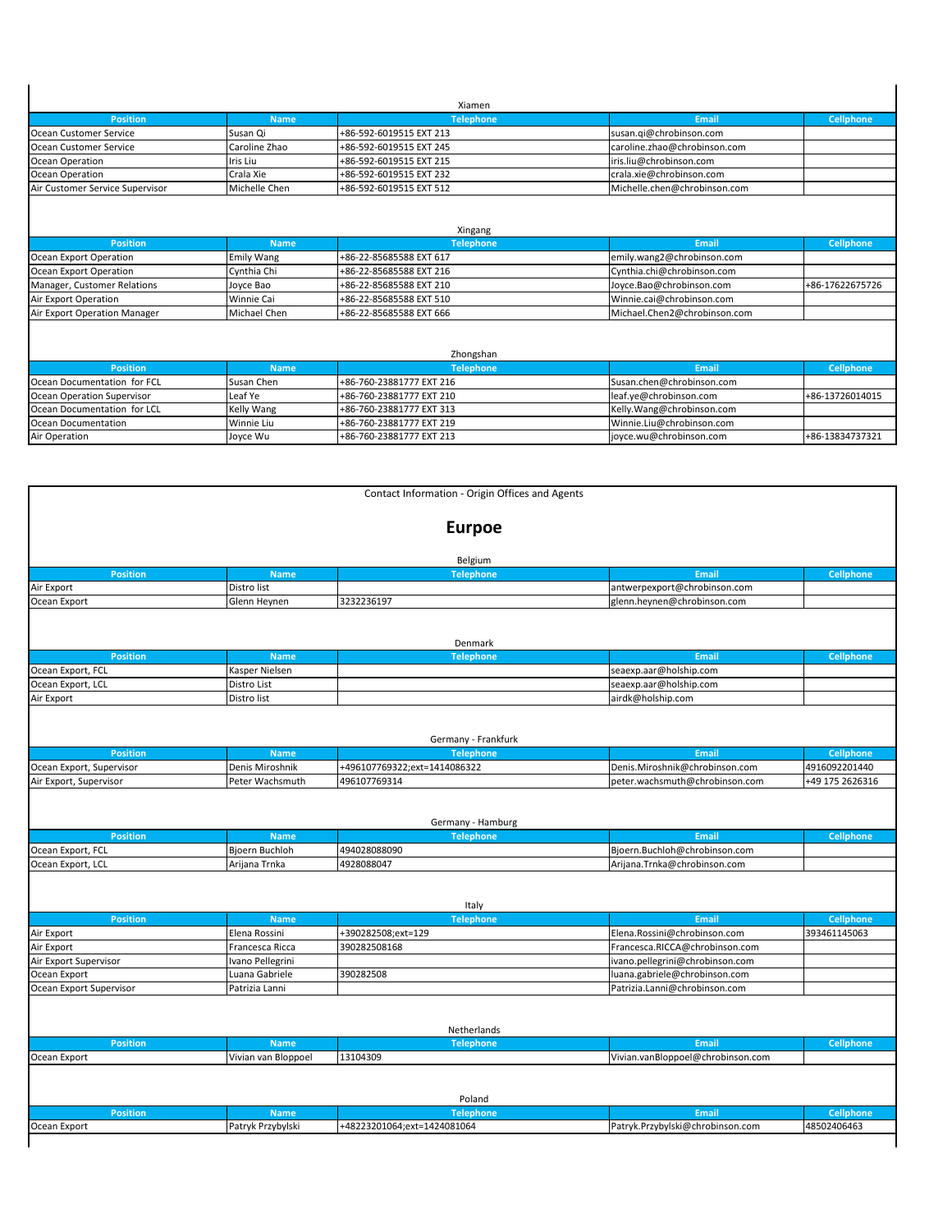| <b>Position</b>                                                                                                                  | <b>Name</b>            | <b>Telephone</b>                                     | <b>Email</b>                                         | <b>Cellphone</b>                   |
|----------------------------------------------------------------------------------------------------------------------------------|------------------------|------------------------------------------------------|------------------------------------------------------|------------------------------------|
| Ocean Customer Service                                                                                                           | Susan Qi               | +86-592-6019515 EXT 213                              | susan.gi@chrobinson.com                              |                                    |
| Ocean Customer Service                                                                                                           | Caroline Zhao          | +86-592-6019515 EXT 245                              | caroline.zhao@chrobinson.com                         |                                    |
| Ocean Operation                                                                                                                  | Iris Liu               | +86-592-6019515 EXT 215                              | iris.liu@chrobinson.com                              |                                    |
| Ocean Operation                                                                                                                  | Crala Xie              | +86-592-6019515 EXT 232                              | crala.xie@chrobinson.com                             |                                    |
| Air Customer Service Supervisor                                                                                                  | Michelle Chen          | +86-592-6019515 EXT 512                              | Michelle.chen@chrobinson.com                         |                                    |
|                                                                                                                                  |                        | Xingang                                              |                                                      |                                    |
| <b>Position</b>                                                                                                                  | <b>Name</b>            | <b>Telephone</b>                                     | Email                                                | <b>Cellphone</b>                   |
| Ocean Export Operation                                                                                                           | <b>Emily Wang</b>      | +86-22-85685588 EXT 617                              | emily.wang2@chrobinson.com                           |                                    |
|                                                                                                                                  | Cynthia Chi            | +86-22-85685588 EXT 216                              | Cynthia.chi@chrobinson.com                           |                                    |
|                                                                                                                                  |                        |                                                      |                                                      |                                    |
|                                                                                                                                  | Joyce Bao              | +86-22-85685588 EXT 210                              | Joyce.Bao@chrobinson.com                             |                                    |
|                                                                                                                                  | <b>Winnie Cai</b>      | +86-22-85685588 EXT 510                              | Winnie.cai@chrobinson.com                            |                                    |
| Ocean Export Operation<br>Manager, Customer Relations<br>Air Export Operation<br>Air Export Operation Manager                    | Michael Chen           | +86-22-85685588 EXT 666                              | Michael.Chen2@chrobinson.com                         | +86-17622675726                    |
|                                                                                                                                  |                        | Zhongshan                                            |                                                      |                                    |
| <b>Position</b>                                                                                                                  | <b>Name</b>            | <b>Telephone</b>                                     | Email                                                | <b>Cellphone</b>                   |
|                                                                                                                                  | Susan Chen             | +86-760-23881777 EXT 216                             | Susan.chen@chrobinson.com                            |                                    |
|                                                                                                                                  | Leaf Ye                | +86-760-23881777 EXT 210                             | leaf.ye@chrobinson.com                               |                                    |
|                                                                                                                                  | Kelly Wang             | +86-760-23881777 EXT 313                             | Kelly.Wang@chrobinson.com                            |                                    |
| Ocean Documentation for FCL<br>Ocean Operation Supervisor<br>Ocean Documentation for LCL<br>Ocean Documentation<br>Air Operation | Winnie Liu<br>Joyce Wu | +86-760-23881777 EXT 219<br>+86-760-23881777 EXT 213 | Winnie.Liu@chrobinson.com<br>joyce.wu@chrobinson.com | +86-13726014015<br>+86-13834737321 |

| <b>Position</b>                                                                                              | <b>Name</b>                     | <b>Telephone</b>             | <b>Email</b>                                                  | <b>Cellphone</b> |
|--------------------------------------------------------------------------------------------------------------|---------------------------------|------------------------------|---------------------------------------------------------------|------------------|
| Air Export                                                                                                   | Distro list                     |                              | antwerpexport@chrobinson.com                                  |                  |
| Ocean Export                                                                                                 | Glenn Heynen                    | 3232236197                   | glenn.heynen@chrobinson.com                                   |                  |
|                                                                                                              |                                 | Denmark                      |                                                               |                  |
| <b>Position</b>                                                                                              | <b>Name</b>                     | <b>Telephone</b>             | <b>Email</b>                                                  | Cellphone        |
| Ocean Export, FCL                                                                                            | Kasper Nielsen                  |                              | seaexp.aar@holship.com                                        |                  |
| Ocean Export, LCL                                                                                            | Distro List                     |                              | seaexp.aar@holship.com                                        |                  |
| Air Export                                                                                                   | Distro list                     |                              | airdk@holship.com                                             |                  |
|                                                                                                              |                                 |                              |                                                               |                  |
|                                                                                                              |                                 | Germany - Frankfurk          |                                                               |                  |
| <b>Position</b>                                                                                              | <b>Name</b>                     | <b>Telephone</b>             | <b>Email</b>                                                  | <b>Cellphone</b> |
| Ocean Export, Supervisor                                                                                     | Denis Miroshnik                 | +496107769322;ext=1414086322 | Denis.Miroshnik@chrobinson.com                                | 4916092201440    |
| Air Export, Supervisor                                                                                       | Peter Wachsmuth                 | 496107769314                 | peter.wachsmuth@chrobinson.com                                | +49 175 2626316  |
| <b>Position</b>                                                                                              | <b>Name</b>                     | <b>Telephone</b>             | <b>Email</b>                                                  | <b>Cellphone</b> |
| Ocean Export, FCL<br>Ocean Export, LCL                                                                       | Bjoern Buchloh<br>Arijana Trnka | 494028088090<br>4928088047   | Bjoern.Buchloh@chrobinson.com<br>Arijana.Trnka@chrobinson.com |                  |
|                                                                                                              |                                 | Italy                        |                                                               |                  |
| <b>Position</b>                                                                                              | <b>Name</b>                     | <b>Telephone</b>             | <b>Email</b>                                                  | <b>Cellphone</b> |
|                                                                                                              | Elena Rossini                   | +390282508;ext=129           | Elena.Rossini@chrobinson.com                                  | 393461145063     |
|                                                                                                              | Francesca Ricca                 | 390282508168                 | Francesca.RICCA@chrobinson.com                                |                  |
|                                                                                                              | Ivano Pellegrini                |                              | ivano.pellegrini@chrobinson.com                               |                  |
|                                                                                                              | Luana Gabriele                  | 390282508                    | luana.gabriele@chrobinson.com                                 |                  |
|                                                                                                              | Patrizia Lanni                  |                              | Patrizia.Lanni@chrobinson.com                                 |                  |
|                                                                                                              |                                 |                              |                                                               |                  |
|                                                                                                              |                                 | Netherlands                  |                                                               |                  |
| <b>Position</b>                                                                                              | <b>Name</b>                     | <b>Telephone</b>             | Email                                                         | Cellphone        |
|                                                                                                              | Vivian van Bloppoel             | 13104309                     | Vivian.vanBloppoel@chrobinson.com                             |                  |
| Air Export<br>Air Export<br>Air Export Supervisor<br>Ocean Export<br>Ocean Export Supervisor<br>Ocean Export |                                 | Poland                       |                                                               |                  |
| <b>Position</b>                                                                                              | <b>Name</b>                     | <b>Telephone</b>             | <b>Email</b>                                                  | <b>Cellphone</b> |